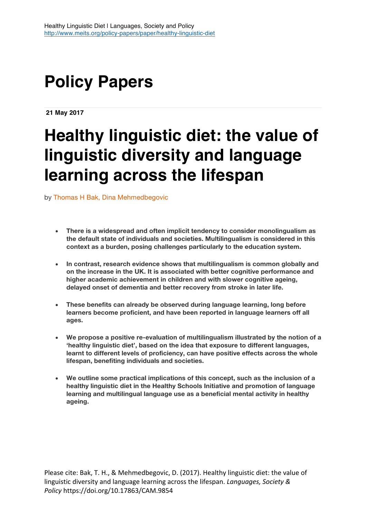# **Policy Papers**

**21 May 2017**

# **Healthy linguistic diet: the value of linguistic diversity and language learning across the lifespan**

by Thomas H Bak, Dina Mehmedbegovic

- **There is a widespread and often implicit tendency to consider monolingualism as the default state of individuals and societies. Multilingualism is considered in this context as a burden, posing challenges particularly to the education system.**
- **In contrast, research evidence shows that multilingualism is common globally and on the increase in the UK. It is associated with better cognitive performance and higher academic achievement in children and with slower cognitive ageing, delayed onset of dementia and better recovery from stroke in later life.**
- **These benefits can already be observed during language learning, long before learners become proficient, and have been reported in language learners off all ages.**
- **We propose a positive re-evaluation of multilingualism illustrated by the notion of a 'healthy linguistic diet', based on the idea that exposure to different languages, learnt to different levels of proficiency, can have positive effects across the whole lifespan, benefiting individuals and societies.**
- **We outline some practical implications of this concept, such as the inclusion of a healthy linguistic diet in the Healthy Schools Initiative and promotion of language learning and multilingual language use as a beneficial mental activity in healthy ageing.**

Please cite: Bak, T. H., & Mehmedbegovic, D. (2017). Healthy linguistic diet: the value of linguistic diversity and language learning across the lifespan. *Languages, Society & Policy* https://doi.org/10.17863/CAM.9854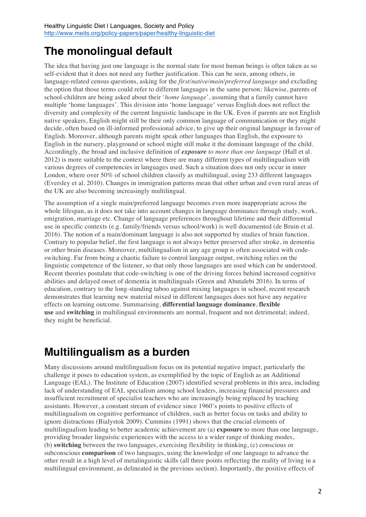## **The monolingual default**

The idea that having just one language is the normal state for most human beings is often taken as so self-evident that it does not need any further justification. This can be seen, among others, in language-related census questions, asking for the *first/native/main*/*preferred language* and excluding the option that those terms could refer to different languages in the same person*;* likewise, parents of school-children are being asked about their '*home language*', assuming that a family cannot have multiple 'home languages'. This division into 'home language' versus English does not reflect the diversity and complexity of the current linguistic landscape in the UK. Even if parents are not English native speakers, English might still be their only common language of communication or they might decide, often based on ill-informed professional advice, to give up their original language in favour of English. Moreover, although parents might speak other languages than English, the exposure to English in the nursery, playground or school might still make it the dominant language of the child. Accordingly, the broad and inclusive definition of *exposure to more than one language* (Hall et al. 2012) is more suitable to the context where there are many different types of multilingualism with various degrees of competencies in languages used. Such a situation does not only occur in inner London, where over 50% of school children classify as multilingual, using 233 different languages (Eversley et al. 2010). Changes in immigration patterns mean that other urban and even rural areas of the UK are also becoming increasingly multilingual.

The assumption of a single main/preferred language becomes even more inappropriate across the whole lifespan, as it does not take into account changes in language dominance through study, work, emigration, marriage etc. Change of language preferences throughout lifetime and their differential use in specific contexts (e.g. family/friends versus school/work) is well documented (de Bruin et al. 2016). The notion of a main/dominant language is also not supported by studies of brain function. Contrary to popular belief, the first language is not always better preserved after stroke, in dementia or other brain diseases. Moreover, multilingualism in any age group is often associated with codeswitching. Far from being a chaotic failure to control language output, switching relies on the linguistic competence of the listener, so that only those languages are used which can be understood. Recent theories postulate that code-switching is one of the driving forces behind increased cognitive abilities and delayed onset of dementia in multilinguals (Green and Abutalebi 2016). In terms of education, contrary to the long-standing taboo against mixing languages in school, recent research demonstrates that learning new material mixed in different languages does not have any negative effects on learning outcome. Summarising, **differential language dominance**, **flexible use** and **switching** in multilingual environments are normal, frequent and not detrimental; indeed, they might be beneficial.

# **Multilingualism as a burden**

Many discussions around multilingualism focus on its potential negative impact, particularly the challenge it poses to education system, as exemplified by the topic of English as an Additional Language (EAL). The Institute of Education (2007) identified several problems in this area, including lack of understanding of EAL specialism among school leaders, increasing financial pressures and insufficient recruitment of specialist teachers who are increasingly being replaced by teaching assistants. However, a constant stream of evidence since 1960's points to positive effects of multilingualism on cognitive performance of children, such as better focus on tasks and ability to ignore distractions (Bialystok 2009). Cummins (1991) shows that the crucial elements of multilingualism leading to better academic achievement are (a) **exposure** to more than one language, providing broader linguistic experiences with the access to a wider range of thinking modes, (b) **switching** between the two languages, exercising flexibility in thinking, (c) conscious or subconscious **comparison** of two languages, using the knowledge of one language to advance the other result in a high level of metalinguistic skills (all three points reflecting the reality of living in a multilingual environment, as delineated in the previous section). Importantly, the positive effects of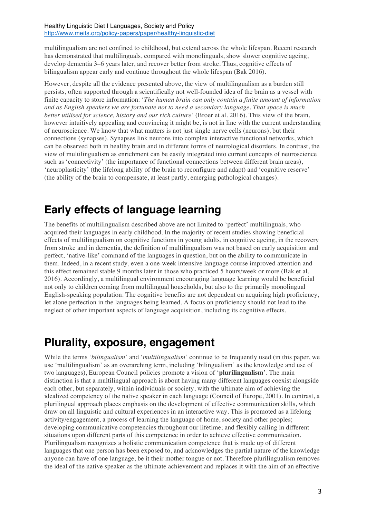multilingualism are not confined to childhood, but extend across the whole lifespan. Recent research has demonstrated that multilinguals, compared with monolinguals, show slower cognitive ageing, develop dementia 3–6 years later, and recover better from stroke. Thus, cognitive effects of bilingualism appear early and continue throughout the whole lifespan (Bak 2016).

However, despite all the evidence presented above, the view of multilingualism as a burden still persists, often supported through a scientifically not well-founded idea of the brain as a vessel with finite capacity to store information: '*The human brain can only contain a finite amount of information and as English speakers we are fortunate not to need a secondary language. That space is much better utilised for science, history and our rich culture*' (Broer et al. 2016). This view of the brain, however intuitively appealing and convincing it might be, is not in line with the current understanding of neuroscience. We know that what matters is not just single nerve cells (neurons), but their connections (synapses). Synapses link neurons into complex interactive functional networks, which can be observed both in healthy brain and in different forms of neurological disorders. In contrast, the view of multilingualism as enrichment can be easily integrated into current concepts of neuroscience such as 'connectivity' (the importance of functional connections between different brain areas), 'neuroplasticity' (the lifelong ability of the brain to reconfigure and adapt) and 'cognitive reserve' (the ability of the brain to compensate, at least partly, emerging pathological changes).

### **Early effects of language learning**

The benefits of multilingualism described above are not limited to 'perfect' multilinguals, who acquired their languages in early childhood. In the majority of recent studies showing beneficial effects of multilingualism on cognitive functions in young adults, in cognitive ageing, in the recovery from stroke and in dementia, the definition of multilingualism was not based on early acquisition and perfect, 'native-like' command of the languages in question, but on the ability to communicate in them. Indeed, in a recent study, even a one-week intensive language course improved attention and this effect remained stable 9 months later in those who practiced 5 hours/week or more (Bak et al. 2016). Accordingly, a multilingual environment encouraging language learning would be beneficial not only to children coming from multilingual households, but also to the primarily monolingual English-speaking population. The cognitive benefits are not dependent on acquiring high proficiency, let alone perfection in the languages being learned. A focus on proficiency should not lead to the neglect of other important aspects of language acquisition, including its cognitive effects.

### **Plurality, exposure, engagement**

While the terms '*bilingualism*' and '*multilingualism*' continue to be frequently used (in this paper, we use 'multilingualism' as an overarching term, including 'bilingualism' as the knowledge and use of two languages), European Council policies promote a vision of '**plurilingualism**'. The main distinction is that a multilingual approach is about having many different languages coexist alongside each other, but separately, within individuals or society, with the ultimate aim of achieving the idealized competency of the native speaker in each language (Council of Europe, 2001). In contrast, a plurilingual approach places emphasis on the development of effective communication skills, which draw on all linguistic and cultural experiences in an interactive way. This is promoted as a lifelong activity/engagement, a process of learning the language of home, society and other peoples; developing communicative competencies throughout our lifetime; and flexibly calling in different situations upon different parts of this competence in order to achieve effective communication. Plurilingualism recognizes a holistic communication competence that is made up of different languages that one person has been exposed to, and acknowledges the partial nature of the knowledge anyone can have of one language, be it their mother tongue or not. Therefore plurilingualism removes the ideal of the native speaker as the ultimate achievement and replaces it with the aim of an effective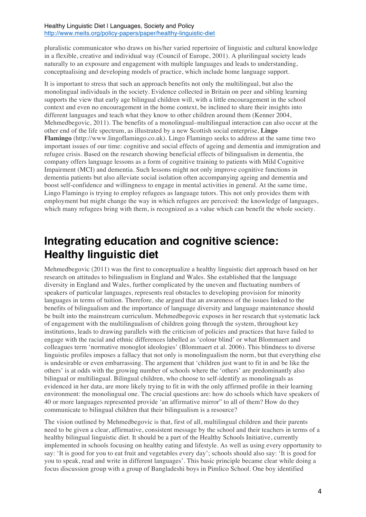pluralistic communicator who draws on his/her varied repertoire of linguistic and cultural knowledge in a flexible, creative and individual way (Council of Europe, 2001). A plurilingual society leads naturally to an exposure and engagement with multiple languages and leads to understanding, conceptualising and developing models of practice, which include home language support.

It is important to stress that such an approach benefits not only the multilingual, but also the monolingual individuals in the society. Evidence collected in Britain on peer and sibling learning supports the view that early age bilingual children will, with a little encouragement in the school context and even no encouragement in the home context, be inclined to share their insights into different languages and teach what they know to other children around them (Kenner 2004, Mehmedbegovic, 2011). The benefits of a monolingual–multilingual interaction can also occur at the other end of the life spectrum, as illustrated by a new Scottish social enterprise, **Lingo Flamingo** (http://www.lingoflamingo.co.uk). Lingo Flamingo seeks to address at the same time two important issues of our time: cognitive and social effects of ageing and dementia and immigration and refugee crisis. Based on the research showing beneficial effects of bilingualism in dementia, the company offers language lessons as a form of cognitive training to patients with Mild Cognitive Impairment (MCI) and dementia. Such lessons might not only improve cognitive functions in dementia patients but also alleviate social isolation often accompanying ageing and dementia and boost self-confidence and willingness to engage in mental activities in general. At the same time, Lingo Flamingo is trying to employ refugees as language tutors. This not only provides them with employment but might change the way in which refugees are perceived: the knowledge of languages, which many refugees bring with them, is recognized as a value which can benefit the whole society.

### **Integrating education and cognitive science: Healthy linguistic diet**

Mehmedbegovic (2011) was the first to conceptualize a healthy linguistic diet approach based on her research on attitudes to bilingualism in England and Wales. She established that the language diversity in England and Wales, further complicated by the uneven and fluctuating numbers of speakers of particular languages, represents real obstacles to developing provision for minority languages in terms of tuition. Therefore, she argued that an awareness of the issues linked to the benefits of bilingualism and the importance of language diversity and language maintenance should be built into the mainstream curriculum. Mehmedbegovic exposes in her research that systematic lack of engagement with the multilingualism of children going through the system, throughout key institutions, leads to drawing parallels with the criticism of policies and practices that have failed to engage with the racial and ethnic differences labelled as 'colour blind' or what Blommaert and colleagues term 'normative monoglot ideologies' (Blommaert et al. 2006). This blindness to diverse linguistic profiles imposes a fallacy that not only is monolingualism the norm, but that everything else is undesirable or even embarrassing. The argument that 'children just want to fit in and be like the others' is at odds with the growing number of schools where the 'others' are predominantly also bilingual or multilingual. Bilingual children, who choose to self-identify as monolinguals as evidenced in her data, are more likely trying to fit in with the only affirmed profile in their learning environment: the monolingual one. The crucial questions are: how do schools which have speakers of 40 or more languages represented provide 'an affirmative mirror" to all of them? How do they communicate to bilingual children that their bilingualism is a resource?

The vision outlined by Mehmedbegovic is that, first of all, multilingual children and their parents need to be given a clear, affirmative, consistent message by the school and their teachers in terms of a healthy bilingual linguistic diet. It should be a part of the Healthy Schools Initiative, currently implemented in schools focusing on healthy eating and lifestyle. As well as using every opportunity to say: 'It is good for you to eat fruit and vegetables every day'; schools should also say: 'It is good for you to speak, read and write in different languages'. This basic principle became clear while doing a focus discussion group with a group of Bangladeshi boys in Pimlico School. One boy identified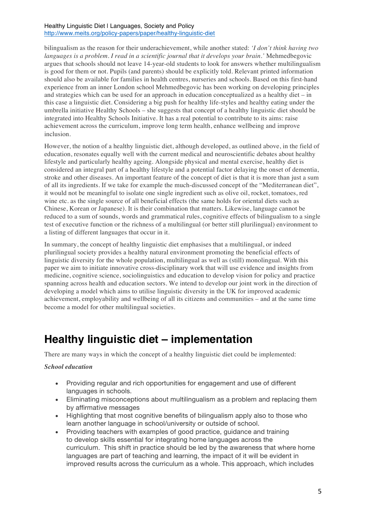bilingualism as the reason for their underachievement, while another stated: *'I don't think having two languages is a problem. I read in a scientific journal that it develops your brain.'* Mehmedbegovic argues that schools should not leave 14-year-old students to look for answers whether multilingualism is good for them or not. Pupils (and parents) should be explicitly told. Relevant printed information should also be available for families in health centres, nurseries and schools. Based on this first-hand experience from an inner London school Mehmedbegovic has been working on developing principles and strategies which can be used for an approach in education conceptualized as a healthy diet – in this case a linguistic diet. Considering a big push for healthy life-styles and healthy eating under the umbrella initiative Healthy Schools – she suggests that concept of a healthy linguistic diet should be integrated into Healthy Schools Initiative. It has a real potential to contribute to its aims: raise achievement across the curriculum, improve long term health, enhance wellbeing and improve inclusion.

However, the notion of a healthy linguistic diet, although developed, as outlined above, in the field of education, resonates equally well with the current medical and neuroscientific debates about healthy lifestyle and particularly healthy ageing. Alongside physical and mental exercise, healthy diet is considered an integral part of a healthy lifestyle and a potential factor delaying the onset of dementia, stroke and other diseases. An important feature of the concept of diet is that it is more than just a sum of all its ingredients. If we take for example the much-discussed concept of the "Mediterranean diet", it would not be meaningful to isolate one single ingredient such as olive oil, rocket, tomatoes, red wine etc. as the single source of all beneficial effects (the same holds for oriental diets such as Chinese, Korean or Japanese). It is their combination that matters. Likewise, language cannot be reduced to a sum of sounds, words and grammatical rules, cognitive effects of bilingualism to a single test of executive function or the richness of a multilingual (or better still plurilingual) environment to a listing of different languages that occur in it.

In summary, the concept of healthy linguistic diet emphasises that a multilingual, or indeed plurilingual society provides a healthy natural environment promoting the beneficial effects of linguistic diversity for the whole population, multilingual as well as (still) monolingual. With this paper we aim to initiate innovative cross-disciplinary work that will use evidence and insights from medicine, cognitive science, sociolinguistics and education to develop vision for policy and practice spanning across health and education sectors. We intend to develop our joint work in the direction of developing a model which aims to utilise linguistic diversity in the UK for improved academic achievement, employability and wellbeing of all its citizens and communities – and at the same time become a model for other multilingual societies.

### **Healthy linguistic diet – implementation**

There are many ways in which the concept of a healthy linguistic diet could be implemented:

#### *School education*

- Providing regular and rich opportunities for engagement and use of different languages in schools.
- Eliminating misconceptions about multilingualism as a problem and replacing them by affirmative messages
- Highlighting that most cognitive benefits of bilingualism apply also to those who learn another language in school/university or outside of school.
- Providing teachers with examples of good practice, guidance and training to develop skills essential for integrating home languages across the curriculum. This shift in practice should be led by the awareness that where home languages are part of teaching and learning, the impact of it will be evident in improved results across the curriculum as a whole. This approach, which includes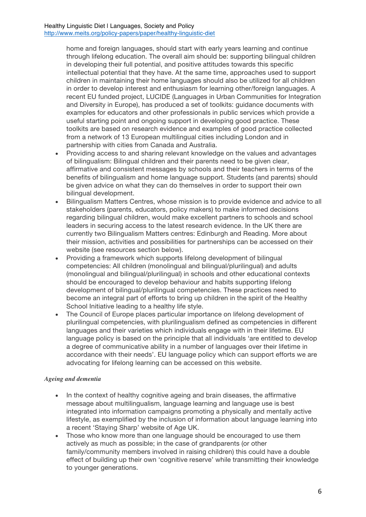home and foreign languages, should start with early years learning and continue through lifelong education. The overall aim should be: supporting bilingual children in developing their full potential, and positive attitudes towards this specific intellectual potential that they have. At the same time, approaches used to support children in maintaining their home languages should also be utilized for all children in order to develop interest and enthusiasm for learning other/foreign languages. A recent EU funded project, LUCIDE (Languages in Urban Communities for Integration and Diversity in Europe), has produced a set of toolkits: guidance documents with examples for educators and other professionals in public services which provide a useful starting point and ongoing support in developing good practice. These toolkits are based on research evidence and examples of good practice collected from a network of 13 European multilingual cities including London and in partnership with cities from Canada and Australia.

- Providing access to and sharing relevant knowledge on the values and advantages of bilingualism: Bilingual children and their parents need to be given clear, affirmative and consistent messages by schools and their teachers in terms of the benefits of bilingualism and home language support. Students (and parents) should be given advice on what they can do themselves in order to support their own bilingual development.
- Bilingualism Matters Centres, whose mission is to provide evidence and advice to all stakeholders (parents, educators, policy makers) to make informed decisions regarding bilingual children, would make excellent partners to schools and school leaders in securing access to the latest research evidence. In the UK there are currently two Bilingualism Matters centres: Edinburgh and Reading. More about their mission, activities and possibilities for partnerships can be accessed on their website (see resources section below).
- Providing a framework which supports lifelong development of bilingual competencies: All children (monolingual and bilingual/plurilingual) and adults (monolingual and bilingual/plurilingual) in schools and other educational contexts should be encouraged to develop behaviour and habits supporting lifelong development of bilingual/plurilingual competencies. These practices need to become an integral part of efforts to bring up children in the spirit of the Healthy School Initiative leading to a healthy life style.
- The Council of Europe places particular importance on lifelong development of plurilingual competencies, with plurilingualism defined as competencies in different languages and their varieties which individuals engage with in their lifetime. EU language policy is based on the principle that all individuals 'are entitled to develop a degree of communicative ability in a number of languages over their lifetime in accordance with their needs'. EU language policy which can support efforts we are advocating for lifelong learning can be accessed on this website.

#### *Ageing and dementia*

- In the context of healthy cognitive ageing and brain diseases, the affirmative message about multilingualism, language learning and language use is best integrated into information campaigns promoting a physically and mentally active lifestyle, as exemplified by the inclusion of information about language learning into a recent 'Staying Sharp' website of Age UK.
- Those who know more than one language should be encouraged to use them actively as much as possible; in the case of grandparents (or other family/community members involved in raising children) this could have a double effect of building up their own 'cognitive reserve' while transmitting their knowledge to younger generations.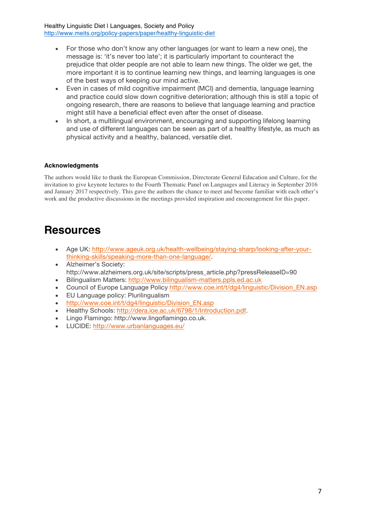- For those who don't know any other languages (or want to learn a new one), the message is: 'it's never too late'; it is particularly important to counteract the prejudice that older people are not able to learn new things. The older we get, the more important it is to continue learning new things, and learning languages is one of the best ways of keeping our mind active.
- Even in cases of mild cognitive impairment (MCI) and dementia, language learning and practice could slow down cognitive deterioration; although this is still a topic of ongoing research, there are reasons to believe that language learning and practice might still have a beneficial effect even after the onset of disease.
- In short, a multilingual environment, encouraging and supporting lifelong learning and use of different languages can be seen as part of a healthy lifestyle, as much as physical activity and a healthy, balanced, versatile diet.

#### **Acknowledgments**

The authors would like to thank the European Commission, Directorate General Education and Culture, for the invitation to give keynote lectures to the Fourth Thematic Panel on Languages and Literacy in September 2016 and January 2017 respectively. This gave the authors the chance to meet and become familiar with each other's work and the productive discussions in the meetings provided inspiration and encouragement for this paper.

### **Resources**

- Age UK: http://www.ageuk.org.uk/health-wellbeing/staying-sharp/looking-after-yourthinking-skills/speaking-more-than-one-language/.
- Alzheimer's Society: http://www.alzheimers.org.uk/site/scripts/press\_article.php?pressReleaseID=90
- Bilingualism Matters: http://www.bilingualism-matters.ppls.ed.ac.uk
- Council of Europe Language Policy http://www.coe.int/t/dg4/linguistic/Division\_EN.asp
- EU Language policy: Plurilingualism
- http://www.coe.int/t/dg4/linguistic/Division\_EN.asp
- Healthy Schools: http://dera.ioe.ac.uk/6798/1/Introduction.pdf.
- Lingo Flamingo: http://www.lingoflamingo.co.uk.
- LUCIDE: http://www.urbanlanguages.eu/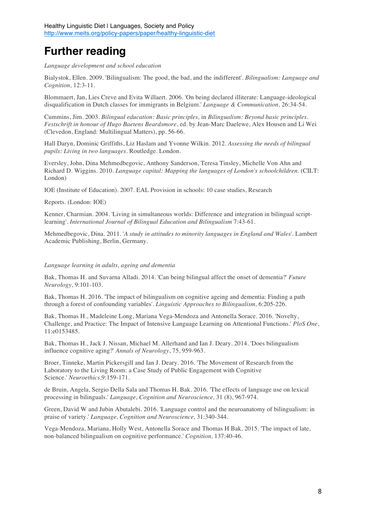# **Further reading**

*Language development and school education*

Bialystok, Ellen. 2009. 'Bilingualism: The good, the bad, and the indifferent'. *Bilingualism: Language and Cognition,* 12:3-11.

Blommaert, Jan, Lies Creve and Evita Willaert. 2006. 'On being declared illiterate: Language-ideological disqualification in Dutch classes for immigrants in Belgium.' *Language & Communication,* 26:34-54.

Cummins, Jim. 2003. *Bilingual education: Basic principles,* in *Bilingualism: Beyond basic principles. Festschrift in honour of Hugo Baetens Beardsmore*, ed. by Jean-Marc Daelewe, Alex Housen and Li Wei (Clevedon, England: Multilingual Matters), pp. 56-66.

Hall Daryn, Dominic Griffiths, Liz Haslam and Yvonne Wilkin. 2012. *Assessing the needs of bilingual pupils: Living in two languages*. Routledge. London.

Eversley, John, Dina Mehmedbegovic, Anthony Sanderson, Teresa Tinsley, Michelle Von Ahn and Richard D. Wiggins. 2010. *Language capital: Mapping the languages of London's schoolchildren*. (CILT: London)

IOE (Institute of Education). 2007. EAL Provision in schools: 10 case studies, Research

Reports. (London: IOE)

Kenner, Charmian. 2004. 'Living in simultaneous worlds: Difference and integration in bilingual scriptlearning'. *International Journal of Bilingual Education and Bilingualism* 7:43-61.

Mehmedbegovic, Dina. 2011. '*A study in attitudes to minority languages in England and Wales*'. Lambert Academic Publishing, Berlin, Germany.

#### *Language learning in adults, ageing and dementia*

Bak, Thomas H. and Suvarna Alladi. 2014. 'Can being bilingual affect the onset of dementia?' *Future Neurology*, 9:101-103.

Bak, Thomas H. 2016. 'The impact of bilingualism on cognitive ageing and dementia: Finding a path through a forest of confounding variables'. *Linguistic Approaches to Bilingualism,* 6:205-226.

Bak, Thomas H., Madeleine Long, Mariana Vega-Mendoza and Antonella Sorace. 2016. 'Novelty, Challenge, and Practice: The Impact of Intensive Language Learning on Attentional Functions.' *PloS One*, 11:e0153485.

Bak, Thomas H., Jack J. Nissan, Michael M. Allerhand and Ian J. Deary. 2014. 'Does bilingualism influence cognitive aging?' *Annals of Neurology*, 75, 959-963.

Broer, Tinneke, Martin Pickersgill and Ian J. Deary. 2016. 'The Movement of Research from the Laboratory to the Living Room: a Case Study of Public Engagement with Cognitive Science.' *Neuroethics,*9:159-171.

de Bruin, Angela, Sergio Della Sala and Thomas H. Bak. 2016. 'The effects of language use on lexical processing in bilinguals.' *Language, Cognition and Neuroscience,* 31 (8), 967-974.

Green, David W and Jubin Abutalebi. 2016. 'Language control and the neuroanatomy of bilingualism: in praise of variety.' *Language, Cognition and Neuroscience,* 31:340-344.

Vega-Mendoza, Mariana, Holly West, Antonella Sorace and Thomas H Bak. 2015. 'The impact of late, non-balanced bilingualism on cognitive performance.' *Cognition,* 137:40-46.